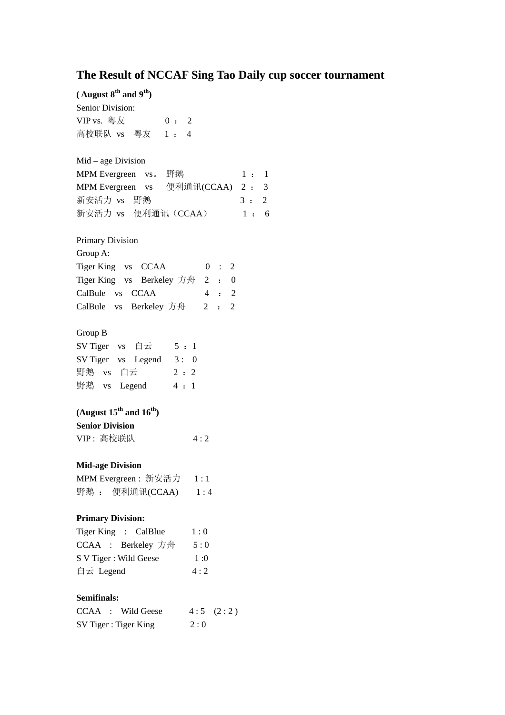## **The Result of NCCAF Sing Tao Daily cup soccer tournament**

**( August 8th and 9th)**  Senior Division: VIP vs. 粤友 0: 2 高校联队 vs 粤友 1 : 4 Mid – age Division MPM Evergreen  $vs.$  野鹅  $1 : 1$ MPM Evergreen vs 便利通讯(CCAA) 2 : 3 新安活力 vs 野鹅 3: 2 新安活力 vs 便利通讯 (CCAA) 1: 6 Primary Division Group A: Tiger King vs CCAA 0 : 2 Tiger King vs Berkeley 方舟 2 : 0 CalBule vs CCAA 4 : 2 CalBule vs Berkeley 方舟 2 : 2 Group B SV Tiger vs  $\dot{\boxdot} \vec{\bm{\Sigma}}$  5 : 1 SV Tiger vs Legend 3: 0 野鹅 vs 白云 2:2 野鹅 vs Legend 4:1 **(August 15th and 16th) Senior Division**  VIP: 高校联队 4:2 **Mid-age Division**  MPM Evergreen: 新安活力 1:1 野鹅 : 便利通讯(CCAA) 1:4 **Primary Division:**  Tiger King : CalBlue  $1:0$ CCAA : Berkeley 方舟 5:0 S V Tiger : Wild Geese 1:0 白云 Legend  $4:2$ **Semifinals:**  CCAA : Wild Geese  $4:5(2:2)$ SV Tiger : Tiger King  $2:0$